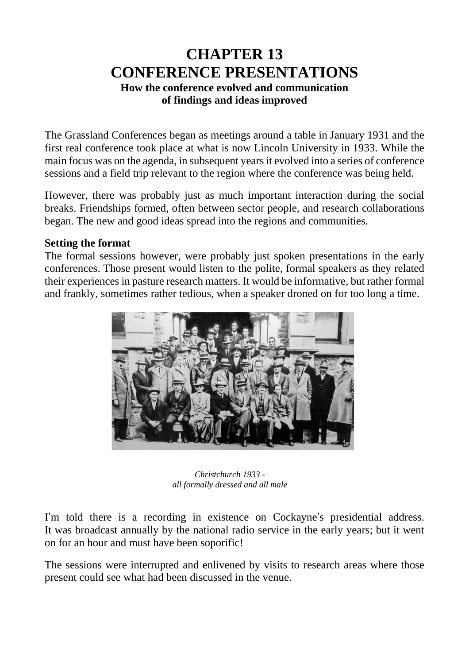# **CHAPTER 13 CONFERENCE PRESENTATIONS How the conference evolved and communication of findings and ideas improved**

The Grassland Conferences began as meetings around a table in January 1931 and the first real conference took place at what is now Lincoln University in 1933. While the main focus was on the agenda, in subsequent yearsit evolved into a series of conference sessions and a field trip relevant to the region where the conference was being held.

However, there was probably just as much important interaction during the social breaks. Friendships formed, often between sector people, and research collaborations began. The new and good ideas spread into the regions and communities.

# **Setting the format**

The formal sessions however, were probably just spoken presentations in the early conferences. Those present would listen to the polite, formal speakers as they related their experiences in pasture research matters. It would be informative, but rather formal and frankly, sometimes rather tedious, when a speaker droned on for too long a time.



*Christchurch 1933 all formally dressed and all male*

I'm told there is a recording in existence on Cockayne's presidential address. It was broadcast annually by the national radio service in the early years; but it went on for an hour and must have been soporific!

The sessions were interrupted and enlivened by visits to research areas where those present could see what had been discussed in the venue.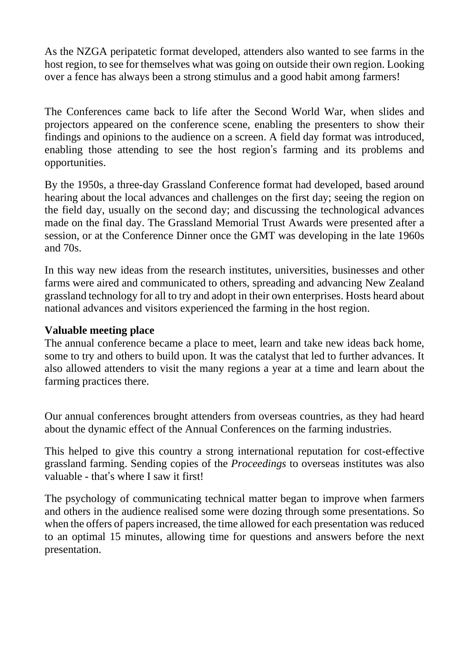As the NZGA peripatetic format developed, attenders also wanted to see farms in the host region, to see for themselves what was going on outside their own region. Looking over a fence has always been a strong stimulus and a good habit among farmers!

The Conferences came back to life after the Second World War, when slides and projectors appeared on the conference scene, enabling the presenters to show their findings and opinions to the audience on a screen. A field day format was introduced, enabling those attending to see the host region's farming and its problems and opportunities.

By the 1950s, a three-day Grassland Conference format had developed, based around hearing about the local advances and challenges on the first day; seeing the region on the field day, usually on the second day; and discussing the technological advances made on the final day. The Grassland Memorial Trust Awards were presented after a session, or at the Conference Dinner once the GMT was developing in the late 1960s and 70s.

In this way new ideas from the research institutes, universities, businesses and other farms were aired and communicated to others, spreading and advancing New Zealand grassland technology for all to try and adopt in their own enterprises. Hosts heard about national advances and visitors experienced the farming in the host region.

# **Valuable meeting place**

The annual conference became a place to meet, learn and take new ideas back home, some to try and others to build upon. It was the catalyst that led to further advances. It also allowed attenders to visit the many regions a year at a time and learn about the farming practices there.

Our annual conferences brought attenders from overseas countries, as they had heard about the dynamic effect of the Annual Conferences on the farming industries.

This helped to give this country a strong international reputation for cost-effective grassland farming. Sending copies of the *Proceedings* to overseas institutes was also valuable - that's where I saw it first!

The psychology of communicating technical matter began to improve when farmers and others in the audience realised some were dozing through some presentations. So when the offers of papers increased, the time allowed for each presentation was reduced to an optimal 15 minutes, allowing time for questions and answers before the next presentation.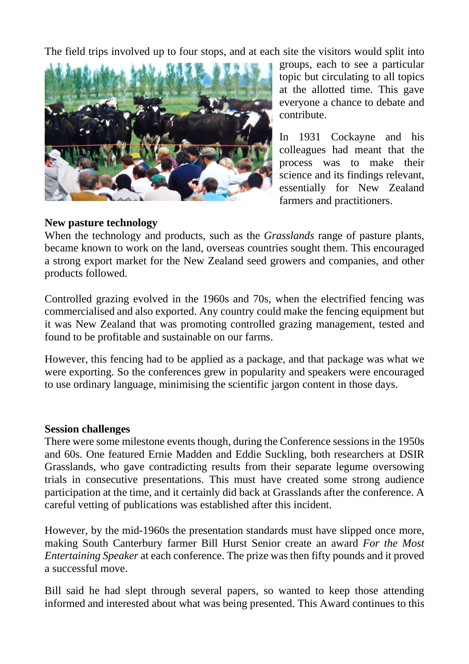The field trips involved up to four stops, and at each site the visitors would split into



groups, each to see a particular topic but circulating to all topics at the allotted time. This gave everyone a chance to debate and contribute.

In 1931 Cockayne and his colleagues had meant that the process was to make their science and its findings relevant, essentially for New Zealand farmers and practitioners.

# **New pasture technology**

When the technology and products, such as the *Grasslands* range of pasture plants, became known to work on the land, overseas countries sought them. This encouraged a strong export market for the New Zealand seed growers and companies, and other products followed.

Controlled grazing evolved in the 1960s and 70s, when the electrified fencing was commercialised and also exported. Any country could make the fencing equipment but it was New Zealand that was promoting controlled grazing management, tested and found to be profitable and sustainable on our farms.

However, this fencing had to be applied as a package, and that package was what we were exporting. So the conferences grew in popularity and speakers were encouraged to use ordinary language, minimising the scientific jargon content in those days.

#### **Session challenges**

There were some milestone events though, during the Conference sessions in the 1950s and 60s. One featured Ernie Madden and Eddie Suckling, both researchers at DSIR Grasslands, who gave contradicting results from their separate legume oversowing trials in consecutive presentations. This must have created some strong audience participation at the time, and it certainly did back at Grasslands after the conference. A careful vetting of publications was established after this incident.

However, by the mid-1960s the presentation standards must have slipped once more, making South Canterbury farmer Bill Hurst Senior create an award *For the Most Entertaining Speaker* at each conference. The prize was then fifty pounds and it proved a successful move.

Bill said he had slept through several papers, so wanted to keep those attending informed and interested about what was being presented. This Award continues to this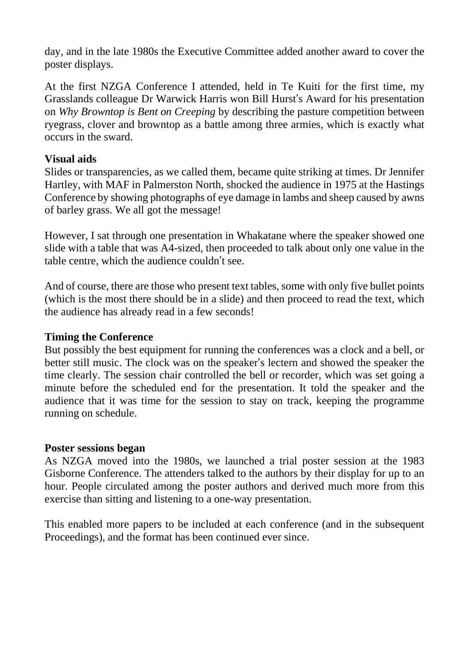day, and in the late 1980s the Executive Committee added another award to cover the poster displays.

At the first NZGA Conference I attended, held in Te Kuiti for the first time, my Grasslands colleague Dr Warwick Harris won Bill Hurst's Award for his presentation on *Why Browntop is Bent on Creeping* by describing the pasture competition between ryegrass, clover and browntop as a battle among three armies, which is exactly what occurs in the sward.

# **Visual aids**

Slides or transparencies, as we called them, became quite striking at times. Dr Jennifer Hartley, with MAF in Palmerston North, shocked the audience in 1975 at the Hastings Conference by showing photographs of eye damage in lambs and sheep caused by awns of barley grass. We all got the message!

However, I sat through one presentation in Whakatane where the speaker showed one slide with a table that was A4-sized, then proceeded to talk about only one value in the table centre, which the audience couldn't see.

And of course, there are those who present text tables, some with only five bullet points (which is the most there should be in a slide) and then proceed to read the text, which the audience has already read in a few seconds!

# **Timing the Conference**

But possibly the best equipment for running the conferences was a clock and a bell, or better still music. The clock was on the speaker's lectern and showed the speaker the time clearly. The session chair controlled the bell or recorder, which was set going a minute before the scheduled end for the presentation. It told the speaker and the audience that it was time for the session to stay on track, keeping the programme running on schedule.

# **Poster sessions began**

As NZGA moved into the 1980s, we launched a trial poster session at the 1983 Gisborne Conference. The attenders talked to the authors by their display for up to an hour. People circulated among the poster authors and derived much more from this exercise than sitting and listening to a one-way presentation.

This enabled more papers to be included at each conference (and in the subsequent Proceedings), and the format has been continued ever since.